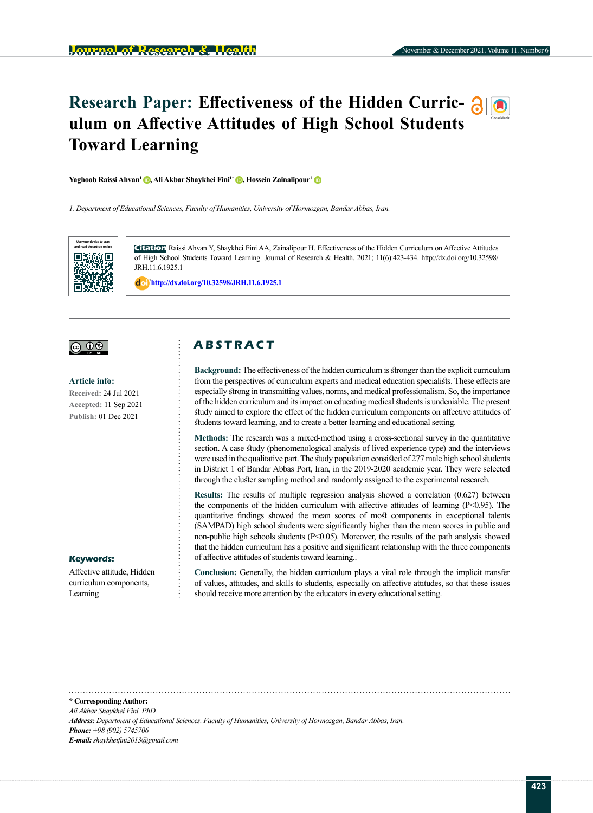# **Research Paper: Effectiveness of the Hidden Curric-**  $\partial$  **0 ulum on Affective Attitudes of High School Students Toward Learning**

**Yaghoob Raissi Ahvan<sup>[1](http://orcid.org/0000-0002-0781-6307)</sup> <b>D**[,](http://orcid.org/0000-0003-1682-5886) Ali Akbar Shaykhei Fini<sup>1\*</sup> **D**, Hossein Zainalipour<sup>1</sup> **D** 

*1. Department of Educational Sciences, Faculty of Humanities, University of Hormozgan, Bandar Abbas, Iran.*



**Citation** Raissi Ahvan Y, Shaykhei Fini AA, Zainalipour H. Effectiveness of the Hidden Curriculum on Affective Attitudes of High School Students Toward Learning. Journal of Research & Health. 2021; 11(6):423-434. http://dx.doi.org/10.32598/ JRH.11.6.1925.1

: **<http://dx.doi.org/10.32598/JRH.11.6.1925.1>**



**Article info: Received:** 24 Jul 2021 **Accepted:** 11 Sep 2021 **Publish:** 01 Dec 2021

## **Keywords:**

Affective attitude, Hidden curriculum components, Learning

## **A B S T R A C T**

**Background:** The effectiveness of the hidden curriculum is stronger than the explicit curriculum from the perspectives of curriculum experts and medical education specialists. These effects are especially strong in transmitting values, norms, and medical professionalism. So, the importance of the hidden curriculum and its impact on educating medical students is undeniable. The present study aimed to explore the effect of the hidden curriculum components on affective attitudes of students toward learning, and to create a better learning and educational setting.

**Methods:** The research was a mixed-method using a cross-sectional survey in the quantitative section. A case study (phenomenological analysis of lived experience type) and the interviews were used in the qualitative part. The study population consisted of 277 male high school students in District 1 of Bandar Abbas Port, Iran, in the 2019-2020 academic year. They were selected through the cluster sampling method and randomly assigned to the experimental research.

**Results:** The results of multiple regression analysis showed a correlation (0.627) between the components of the hidden curriculum with affective attitudes of learning  $(P<0.95)$ . The quantitative findings showed the mean scores of most components in exceptional talents (SAMPAD) high school students were significantly higher than the mean scores in public and non-public high schools students ( $P \le 0.05$ ). Moreover, the results of the path analysis showed that the hidden curriculum has a positive and significant relationship with the three components of affective attitudes of students toward learning..

**Conclusion:** Generally, the hidden curriculum plays a vital role through the implicit transfer of values, attitudes, and skills to students, especially on affective attitudes, so that these issues should receive more attention by the educators in every educational setting.

**\* Corresponding Author:** *Ali Akbar Shaykhei Fini, PhD. Address: Department of Educational Sciences, Faculty of Humanities, University of Hormozgan, Bandar Abbas, Iran. Phone: +98 (902) 5745706 E-mail: shaykheifini2013@gmail.com*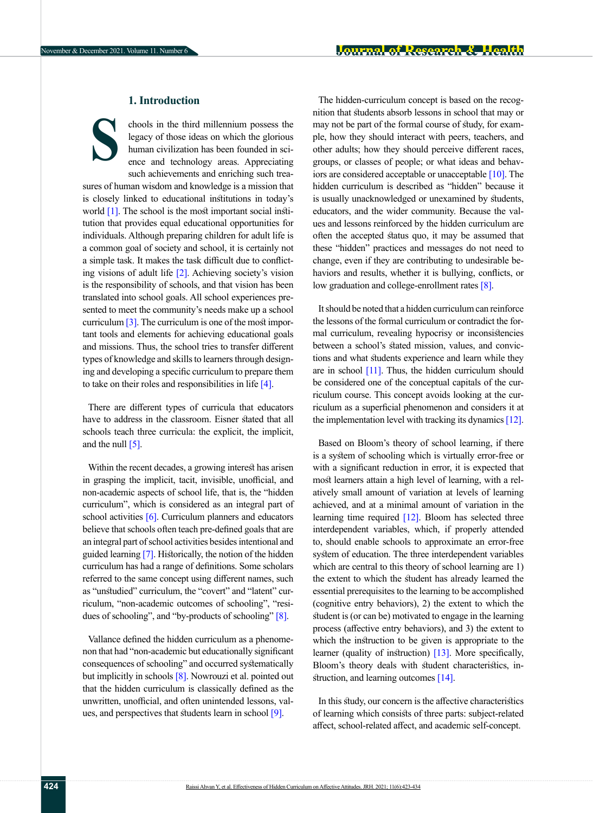## **1. Introduction**

**S**

chools in the third millennium possess the legacy of those ideas on which the glorious human civilization has been founded in science and technology areas. Appreciating such achievements and enriching such trea-

sures of human wisdom and knowledge is a mission that is closely linked to educational institutions in today's world [\[1\]](#page-10-0). The school is the most important social institution that provides equal educational opportunities for individuals. Although preparing children for adult life is a common goal of society and school, it is certainly not a simple task. It makes the task difficult due to conflicting visions of adult life [\[2\]](#page-10-1). Achieving society's vision is the responsibility of schools, and that vision has been translated into school goals. All school experiences presented to meet the community's needs make up a school curriculum  $\lceil 3 \rceil$ . The curriculum is one of the most important tools and elements for achieving educational goals and missions. Thus, the school tries to transfer different types of knowledge and skills to learners through designing and developing a specific curriculum to prepare them to take on their roles and responsibilities in life  $[4]$ .

There are different types of curricula that educators have to address in the classroom. Eisner stated that all schools teach three curricula: the explicit, the implicit, and the null  $\overline{5}$ .

Within the recent decades, a growing interest has arisen in grasping the implicit, tacit, invisible, unofficial, and non-academic aspects of school life, that is, the "hidden curriculum", which is considered as an integral part of school activities  $[6]$ . Curriculum planners and educators believe that schools often teach pre-defined goals that are an integral part of school activities besides intentional and guided learning [\[7\].](#page-10-4) Historically, the notion of the hidden curriculum has had a range of definitions. Some scholars referred to the same concept using different names, such as "unstudied" curriculum, the "covert" and "latent" curriculum, "non-academic outcomes of schooling", "resi-dues of schooling", and "by-products of schooling" [\[8\].](#page-10-5)

Vallance defined the hidden curriculum as a phenomenon that had "non-academic but educationally significant consequences of schooling" and occurred systematically but implicitly in schools [\[8\].](#page-10-5) Nowrouzi et al. pointed out that the hidden curriculum is classically defined as the unwritten, unofficial, and often unintended lessons, val-ues, and perspectives that students learn in school [\[9\].](#page-10-6)

The hidden-curriculum concept is based on the recognition that students absorb lessons in school that may or may not be part of the formal course of study, for example, how they should interact with peers, teachers, and other adults; how they should perceive different races, groups, or classes of people; or what ideas and behaviors are considered acceptable or unacceptable [\[10\].](#page-10-7) The hidden curriculum is described as "hidden" because it is usually unacknowledged or unexamined by students, educators, and the wider community. Because the values and lessons reinforced by the hidden curriculum are often the accepted status quo, it may be assumed that these "hidden" practices and messages do not need to change, even if they are contributing to undesirable behaviors and results, whether it is bullying, conflicts, or low graduation and college-enrollment rates [\[8\]](#page-10-5).

It should be noted that a hidden curriculum can reinforce the lessons of the formal curriculum or contradict the formal curriculum, revealing hypocrisy or inconsistencies between a school's stated mission, values, and convictions and what students experience and learn while they are in school [\[11\].](#page-10-8) Thus, the hidden curriculum should be considered one of the conceptual capitals of the curriculum course. This concept avoids looking at the curriculum as a superficial phenomenon and considers it at the implementation level with tracking its dynamics [\[12\]](#page-10-9).

Based on Bloom's theory of school learning, if there is a system of schooling which is virtually error-free or with a significant reduction in error, it is expected that most learners attain a high level of learning, with a relatively small amount of variation at levels of learning achieved, and at a minimal amount of variation in the learning time required [\[12\].](#page-10-9) Bloom has selected three interdependent variables, which, if properly attended to, should enable schools to approximate an error-free system of education. The three interdependent variables which are central to this theory of school learning are 1) the extent to which the student has already learned the essential prerequisites to the learning to be accomplished (cognitive entry behaviors), 2) the extent to which the student is (or can be) motivated to engage in the learning process (affective entry behaviors), and 3) the extent to which the instruction to be given is appropriate to the learner (quality of instruction) [\[13\].](#page-10-10) More specifically, Bloom's theory deals with student characteristics, in-struction, and learning outcomes [\[14\].](#page-10-11)

In this study, our concern is the affective characteristics of learning which consists of three parts: subject-related affect, school-related affect, and academic self-concept.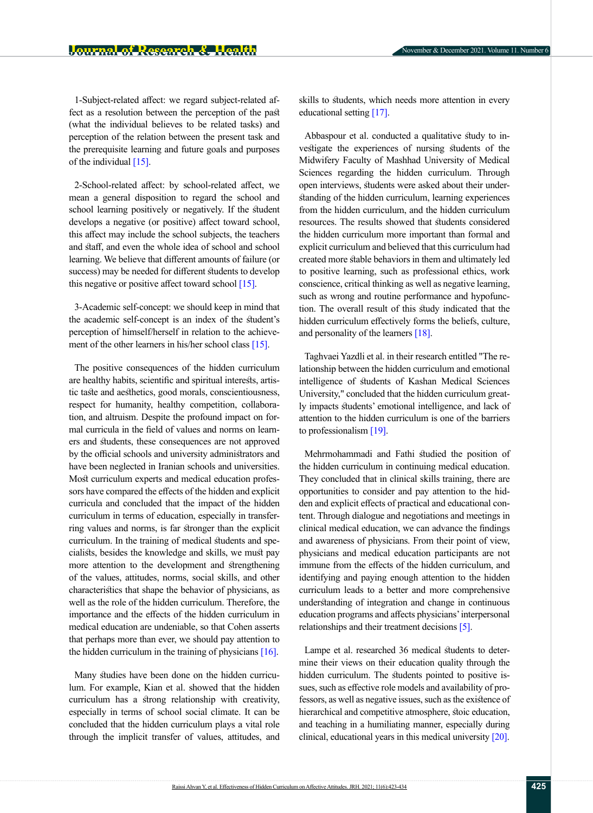1-Subject-related affect: we regard subject-related affect as a resolution between the perception of the past (what the individual believes to be related tasks) and perception of the relation between the present task and the prerequisite learning and future goals and purposes of the individual  $[15]$ .

2-School-related affect: by school-related affect, we mean a general disposition to regard the school and school learning positively or negatively. If the student develops a negative (or positive) affect toward school, this affect may include the school subjects, the teachers and staff, and even the whole idea of school and school learning. We believe that different amounts of failure (or success) may be needed for different students to develop this negative or positive affect toward school  $[15]$ .

3-Academic self-concept: we should keep in mind that the academic self-concept is an index of the student's perception of himself/herself in relation to the achieve-ment of the other learners in his/her school class [\[15\]](#page-10-12).

The positive consequences of the hidden curriculum are healthy habits, scientific and spiritual interests, artistic taste and aesthetics, good morals, conscientiousness, respect for humanity, healthy competition, collaboration, and altruism. Despite the profound impact on formal curricula in the field of values and norms on learners and students, these consequences are not approved by the official schools and university administrators and have been neglected in Iranian schools and universities. Most curriculum experts and medical education professors have compared the effects of the hidden and explicit curricula and concluded that the impact of the hidden curriculum in terms of education, especially in transferring values and norms, is far stronger than the explicit curriculum. In the training of medical students and specialists, besides the knowledge and skills, we must pay more attention to the development and strengthening of the values, attitudes, norms, social skills, and other characteristics that shape the behavior of physicians, as well as the role of the hidden curriculum. Therefore, the importance and the effects of the hidden curriculum in medical education are undeniable, so that Cohen asserts that perhaps more than ever, we should pay attention to the hidden curriculum in the training of physicians  $[16]$ .

Many studies have been done on the hidden curriculum. For example, Kian et al. showed that the hidden curriculum has a strong relationship with creativity, especially in terms of school social climate. It can be concluded that the hidden curriculum plays a vital role through the implicit transfer of values, attitudes, and skills to students, which needs more attention in every educational setting [\[17\]](#page-10-14).

Abbaspour et al. conducted a qualitative study to investigate the experiences of nursing students of the Midwifery Faculty of Mashhad University of Medical Sciences regarding the hidden curriculum. Through open interviews, students were asked about their understanding of the hidden curriculum, learning experiences from the hidden curriculum, and the hidden curriculum resources. The results showed that students considered the hidden curriculum more important than formal and explicit curriculum and believed that this curriculum had created more stable behaviors in them and ultimately led to positive learning, such as professional ethics, work conscience, critical thinking as well as negative learning, such as wrong and routine performance and hypofunction. The overall result of this study indicated that the hidden curriculum effectively forms the beliefs, culture, and personality of the learners [\[18\]](#page-10-15).

Taghvaei Yazdli et al. in their research entitled "The relationship between the hidden curriculum and emotional intelligence of students of Kashan Medical Sciences University," concluded that the hidden curriculum greatly impacts students' emotional intelligence, and lack of attention to the hidden curriculum is one of the barriers to professionalism [19].

Mehrmohammadi and Fathi studied the position of the hidden curriculum in continuing medical education. They concluded that in clinical skills training, there are opportunities to consider and pay attention to the hidden and explicit effects of practical and educational content. Through dialogue and negotiations and meetings in clinical medical education, we can advance the findings and awareness of physicians. From their point of view, physicians and medical education participants are not immune from the effects of the hidden curriculum, and identifying and paying enough attention to the hidden curriculum leads to a better and more comprehensive understanding of integration and change in continuous education programs and affects physicians' interpersonal relationships and their treatment decisions [\[5\].](#page-10-2)

Lampe et al. researched 36 medical students to determine their views on their education quality through the hidden curriculum. The students pointed to positive issues, such as effective role models and availability of professors, as well as negative issues, such as the existence of hierarchical and competitive atmosphere, stoic education, and teaching in a humiliating manner, especially during clinical, educational years in this medical university [\[20\]](#page-10-16).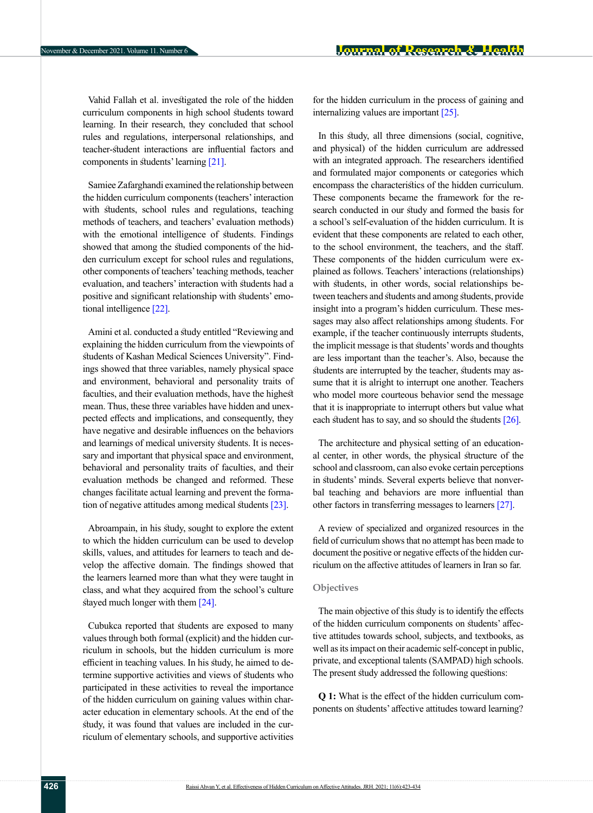Vahid Fallah et al. investigated the role of the hidden curriculum components in high school students toward learning. In their research, they concluded that school rules and regulations, interpersonal relationships, and teacher-student interactions are influential factors and components in students' learning [\[21\]](#page-10-17).

Samiee Zafarghandi examined the relationship between the hidden curriculum components (teachers' interaction with students, school rules and regulations, teaching methods of teachers, and teachers' evaluation methods) with the emotional intelligence of students. Findings showed that among the studied components of the hidden curriculum except for school rules and regulations, other components of teachers' teaching methods, teacher evaluation, and teachers' interaction with students had a positive and significant relationship with students' emotional intelligence [22].

Amini et al. conducted a study entitled "Reviewing and explaining the hidden curriculum from the viewpoints of students of Kashan Medical Sciences University". Findings showed that three variables, namely physical space and environment, behavioral and personality traits of faculties, and their evaluation methods, have the highest mean. Thus, these three variables have hidden and unexpected effects and implications, and consequently, they have negative and desirable influences on the behaviors and learnings of medical university students. It is necessary and important that physical space and environment, behavioral and personality traits of faculties, and their evaluation methods be changed and reformed. These changes facilitate actual learning and prevent the forma-tion of negative attitudes among medical students [\[23\]](#page-10-18).

Abroampain, in his study, sought to explore the extent to which the hidden curriculum can be used to develop skills, values, and attitudes for learners to teach and develop the affective domain. The findings showed that the learners learned more than what they were taught in class, and what they acquired from the school's culture stayed much longer with them [\[24\]](#page-11-0).

Cubukca reported that students are exposed to many values through both formal (explicit) and the hidden curriculum in schools, but the hidden curriculum is more efficient in teaching values. In his study, he aimed to determine supportive activities and views of students who participated in these activities to reveal the importance of the hidden curriculum on gaining values within character education in elementary schools. At the end of the study, it was found that values are included in the curriculum of elementary schools, and supportive activities

for the hidden curriculum in the process of gaining and internalizing values are important [\[25\].](#page-11-1)

In this study, all three dimensions (social, cognitive, and physical) of the hidden curriculum are addressed with an integrated approach. The researchers identified and formulated major components or categories which encompass the characteristics of the hidden curriculum. These components became the framework for the research conducted in our study and formed the basis for a school's self-evaluation of the hidden curriculum. It is evident that these components are related to each other, to the school environment, the teachers, and the staff. These components of the hidden curriculum were explained as follows. Teachers' interactions (relationships) with students, in other words, social relationships between teachers and students and among students, provide insight into a program's hidden curriculum. These messages may also affect relationships among students. For example, if the teacher continuously interrupts students, the implicit message is that students' words and thoughts are less important than the teacher's. Also, because the students are interrupted by the teacher, students may assume that it is alright to interrupt one another. Teachers who model more courteous behavior send the message that it is inappropriate to interrupt others but value what each student has to say, and so should the students [\[26\]](#page-11-2).

The architecture and physical setting of an educational center, in other words, the physical structure of the school and classroom, can also evoke certain perceptions in students' minds. Several experts believe that nonverbal teaching and behaviors are more influential than other factors in transferring messages to learners [\[27\]](#page-11-3).

A review of specialized and organized resources in the field of curriculum shows that no attempt has been made to document the positive or negative effects of the hidden curriculum on the affective attitudes of learners in Iran so far.

## **Objectives**

The main objective of this study is to identify the effects of the hidden curriculum components on students' affective attitudes towards school, subjects, and textbooks, as well as its impact on their academic self-concept in public, private, and exceptional talents (SAMPAD) high schools. The present study addressed the following questions:

**Q 1:** What is the effect of the hidden curriculum components on students' affective attitudes toward learning?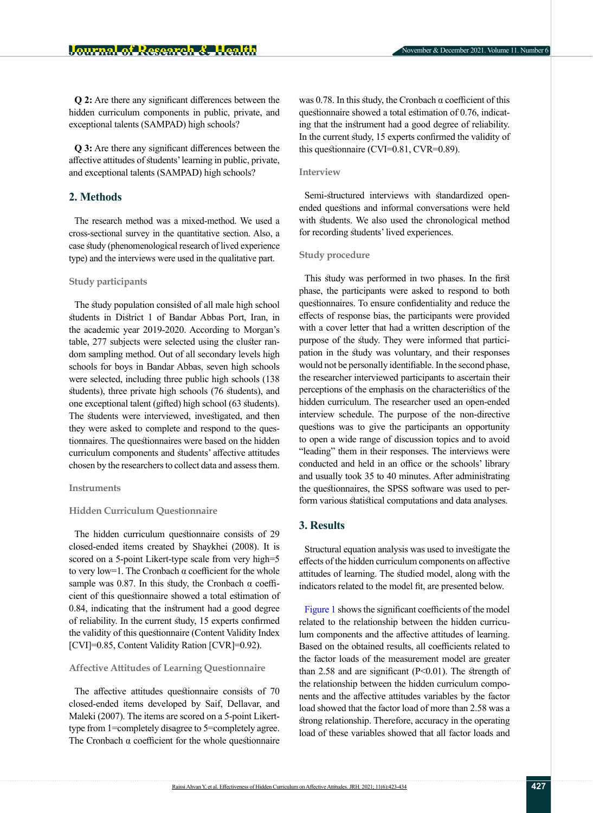**Q 2:** Are there any significant differences between the hidden curriculum components in public, private, and exceptional talents (SAMPAD) high schools?

**Q 3:** Are there any significant differences between the affective attitudes of students' learning in public, private, and exceptional talents (SAMPAD) high schools?

## **2. Methods**

The research method was a mixed-method. We used a cross-sectional survey in the quantitative section. Also, a case study (phenomenological research of lived experience type) and the interviews were used in the qualitative part.

#### **Study participants**

The study population consisted of all male high school students in District 1 of Bandar Abbas Port, Iran, in the academic year 2019-2020. According to Morgan's table, 277 subjects were selected using the cluster random sampling method. Out of all secondary levels high schools for boys in Bandar Abbas, seven high schools were selected, including three public high schools (138 students), three private high schools (76 students), and one exceptional talent (gifted) high school (63 students). The students were interviewed, investigated, and then they were asked to complete and respond to the questionnaires. The questionnaires were based on the hidden curriculum components and students' affective attitudes chosen by the researchers to collect data and assess them.

#### **Instruments**

#### **Hidden Curriculum Questionnaire**

The hidden curriculum questionnaire consists of 29 closed-ended items created by Shaykhei (2008). It is scored on a 5-point Likert-type scale from very high=5 to very low=1. The Cronbach α coefficient for the whole sample was 0.87. In this study, the Cronbach  $\alpha$  coefficient of this questionnaire showed a total estimation of 0.84, indicating that the instrument had a good degree of reliability. In the current study, 15 experts confirmed the validity of this questionnaire (Content Validity Index [CVI]=0.85, Content Validity Ration [CVR]=0.92).

#### **Affective Attitudes of Learning Questionnaire**

The affective attitudes questionnaire consists of 70 closed-ended items developed by Saif, Dellavar, and Maleki (2007). The items are scored on a 5-point Likerttype from 1=completely disagree to 5=completely agree. The Cronbach  $\alpha$  coefficient for the whole questionnaire was 0.78. In this study, the Cronbach  $\alpha$  coefficient of this questionnaire showed a total estimation of 0.76, indicating that the instrument had a good degree of reliability. In the current study, 15 experts confirmed the validity of this questionnaire (CVI=0.81, CVR=0.89).

#### **Interview**

Semi-structured interviews with standardized openended questions and informal conversations were held with students. We also used the chronological method for recording students' lived experiences.

## **Study procedure**

This study was performed in two phases. In the first phase, the participants were asked to respond to both questionnaires. To ensure confidentiality and reduce the effects of response bias, the participants were provided with a cover letter that had a written description of the purpose of the study. They were informed that participation in the study was voluntary, and their responses would not be personally identifiable. In the second phase, the researcher interviewed participants to ascertain their perceptions of the emphasis on the characteristics of the hidden curriculum. The researcher used an open-ended interview schedule. The purpose of the non-directive questions was to give the participants an opportunity to open a wide range of discussion topics and to avoid "leading" them in their responses. The interviews were conducted and held in an office or the schools' library and usually took 35 to 40 minutes. After administrating the questionnaires, the SPSS software was used to perform various statistical computations and data analyses.

## **3. Results**

Structural equation analysis was used to investigate the effects of the hidden curriculum components on affective attitudes of learning. The studied model, along with the indicators related to the model fit, are presented below.

[Figure 1](#page-5-0) shows the significant coefficients of the model related to the relationship between the hidden curriculum components and the affective attitudes of learning. Based on the obtained results, all coefficients related to the factor loads of the measurement model are greater than 2.58 and are significant  $(P<0.01)$ . The strength of the relationship between the hidden curriculum components and the affective attitudes variables by the factor load showed that the factor load of more than 2.58 was a strong relationship. Therefore, accuracy in the operating load of these variables showed that all factor loads and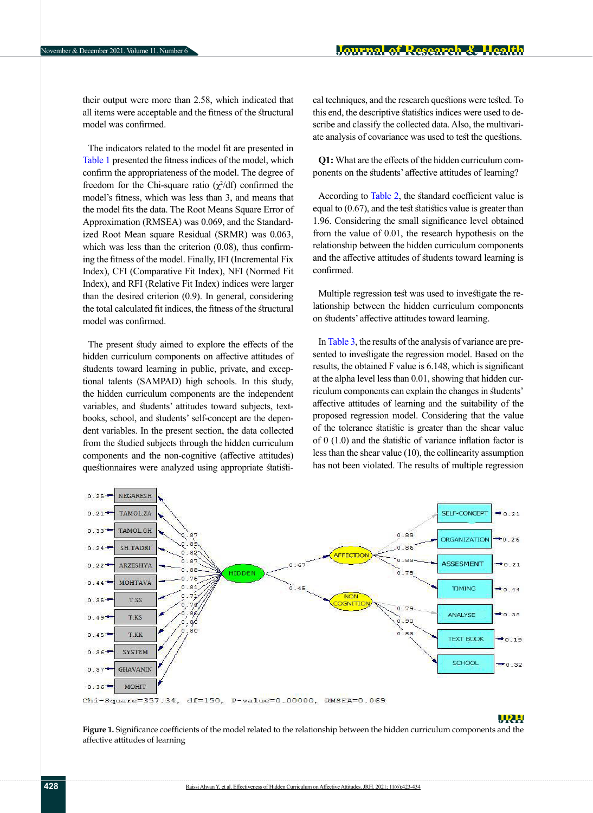their output were more than 2.58, which indicated that all items were acceptable and the fitness of the structural model was confirmed.

The indicators related to the model fit are presented in [Table 1](#page-6-0) presented the fitness indices of the model, which confirm the appropriateness of the model. The degree of freedom for the Chi-square ratio  $(\chi^2/df)$  confirmed the model's fitness, which was less than 3, and means that the model fits the data. The Root Means Square Error of Approximation (RMSEA) was 0.069, and the Standardized Root Mean square Residual (SRMR) was 0.063, which was less than the criterion  $(0.08)$ , thus confirming the fitness of the model. Finally, IFI (Incremental Fix Index), CFI (Comparative Fit Index), NFI (Normed Fit Index), and RFI (Relative Fit Index) indices were larger than the desired criterion (0.9). In general, considering the total calculated fit indices, the fitness of the structural model was confirmed.

The present study aimed to explore the effects of the hidden curriculum components on affective attitudes of students toward learning in public, private, and exceptional talents (SAMPAD) high schools. In this study, the hidden curriculum components are the independent variables, and students' attitudes toward subjects, textbooks, school, and students' self-concept are the dependent variables. In the present section, the data collected from the studied subjects through the hidden curriculum components and the non-cognitive (affective attitudes) questionnaires were analyzed using appropriate statistical techniques, and the research questions were tested. To this end, the descriptive statistics indices were used to describe and classify the collected data. Also, the multivariate analysis of covariance was used to test the questions.

**Q1:** What are the effects of the hidden curriculum components on the students' affective attitudes of learning?

According to [Table 2](#page-6-1), the standard coefficient value is equal to (0.67), and the test statistics value is greater than 1.96. Considering the small significance level obtained from the value of 0.01, the research hypothesis on the relationship between the hidden curriculum components and the affective attitudes of students toward learning is confirmed.

Multiple regression test was used to investigate the relationship between the hidden curriculum components on students' affective attitudes toward learning.

In [Table 3](#page-6-2), the results of the analysis of variance are presented to investigate the regression model. Based on the results, the obtained F value is 6.148, which is significant at the alpha level less than 0.01, showing that hidden curriculum components can explain the changes in students' affective attitudes of learning and the suitability of the proposed regression model. Considering that the value of the tolerance statistic is greater than the shear value of 0 (1.0) and the statistic of variance inflation factor is less than the shear value (10), the collinearity assumption has not been violated. The results of multiple regression



#### <u>Liter</u>

<span id="page-5-0"></span>**Figure 1.** Significance coefficients of the model related to the relationship between the hidden curriculum components and the affective attitudes of learning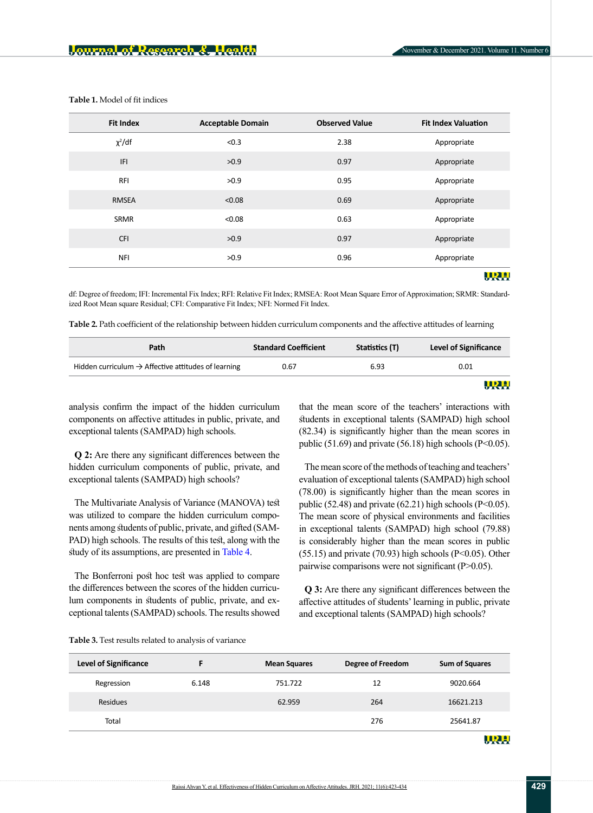| <b>Fit Index</b> | <b>Acceptable Domain</b> | <b>Observed Value</b> | <b>Fit Index Valuation</b> |
|------------------|--------------------------|-----------------------|----------------------------|
| $\chi^2/df$      | < 0.3                    | 2.38                  | Appropriate                |
| IFI              | >0.9                     | 0.97                  | Appropriate                |
| <b>RFI</b>       | >0.9                     | 0.95                  | Appropriate                |
| <b>RMSEA</b>     | < 0.08                   | 0.69                  | Appropriate                |
| <b>SRMR</b>      | < 0.08                   | 0.63                  | Appropriate                |
| <b>CFI</b>       | >0.9                     | 0.97                  | Appropriate                |
| <b>NFI</b>       | >0.9                     | 0.96                  | Appropriate                |
|                  |                          |                       | TRE                        |

<span id="page-6-0"></span>**Table 1.** Model of fit indices

df: Degree of freedom; IFI: Incremental Fix Index; RFI: Relative Fit Index; RMSEA: Root Mean Square Error of Approximation; SRMR: Standardized Root Mean square Residual; CFI: Comparative Fit Index; NFI: Normed Fit Index.

<span id="page-6-1"></span>**Table 2.** Path coefficient of the relationship between hidden curriculum components and the affective attitudes of learning

| Path                                                            | <b>Standard Coefficient</b> | Statistics (T) | <b>Level of Significance</b> |
|-----------------------------------------------------------------|-----------------------------|----------------|------------------------------|
| Hidden curriculum $\rightarrow$ Affective attitudes of learning | 0.67                        | 6.93           | 0.01                         |
|                                                                 |                             |                |                              |

analysis confirm the impact of the hidden curriculum components on affective attitudes in public, private, and exceptional talents (SAMPAD) high schools.

**Q 2:** Are there any significant differences between the hidden curriculum components of public, private, and exceptional talents (SAMPAD) high schools?

The Multivariate Analysis of Variance (MANOVA) test was utilized to compare the hidden curriculum components among students of public, private, and gifted (SAM-PAD) high schools. The results of this test, along with the study of its assumptions, are presented in [Table 4.](#page-7-0)

The Bonferroni post hoc test was applied to compare the differences between the scores of the hidden curriculum components in students of public, private, and exceptional talents (SAMPAD) schools. The results showed that the mean score of the teachers' interactions with students in exceptional talents (SAMPAD) high school (82.34) is significantly higher than the mean scores in public (51.69) and private (56.18) high schools (P<0.05).

The mean score of the methods of teaching and teachers' evaluation of exceptional talents (SAMPAD) high school (78.00) is significantly higher than the mean scores in public (52.48) and private (62.21) high schools ( $P<0.05$ ). The mean score of physical environments and facilities in exceptional talents (SAMPAD) high school (79.88) is considerably higher than the mean scores in public (55.15) and private (70.93) high schools (P<0.05). Other pairwise comparisons were not significant (P>0.05).

**Q 3:** Are there any significant differences between the affective attitudes of students' learning in public, private and exceptional talents (SAMPAD) high schools?

<span id="page-6-2"></span>

| <b>Level of Significance</b> |       | <b>Mean Squares</b> | Degree of Freedom | <b>Sum of Squares</b> |
|------------------------------|-------|---------------------|-------------------|-----------------------|
| Regression                   | 6.148 | 751.722             | 12                | 9020.664              |
| Residues                     |       | 62.959              | 264               | 16621.213             |
| Total                        |       |                     | 276               | 25641.87              |
|                              |       |                     |                   | <u>HRL</u>            |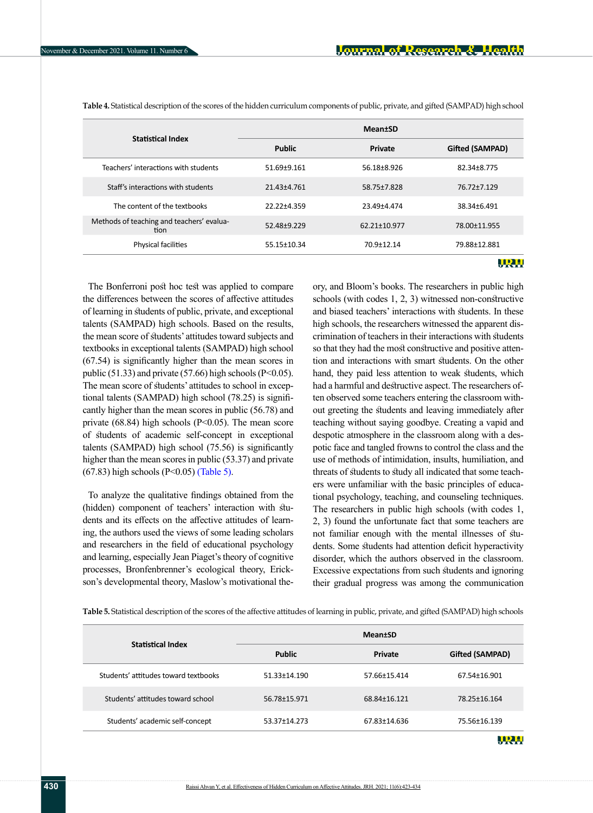| <b>Statistical Index</b>                          | <b>Mean</b> tSD |              |                 |
|---------------------------------------------------|-----------------|--------------|-----------------|
|                                                   | <b>Public</b>   | Private      | Gifted (SAMPAD) |
| Teachers' interactions with students              | 51.69±9.161     | 56.18±8.926  | 82.34+8.775     |
| Staff's interactions with students                | 21.43±4.761     | 58.75±7.828  | 76.72±7.129     |
| The content of the textbooks                      | 22.22±4.359     | 23.49±4.474  | 38.34±6.491     |
| Methods of teaching and teachers' evalua-<br>tion | 52.48+9.229     | 62.21±10.977 | 78.00±11.955    |
| Physical facilities                               | 55.15±10.34     | 70.9±12.14   | 79.88±12.881    |
|                                                   |                 |              |                 |

<span id="page-7-0"></span>**Table 4.** Statistical description of the scores of the hidden curriculum components of public, private, and gifted (SAMPAD) high school

The Bonferroni post hoc test was applied to compare the differences between the scores of affective attitudes of learning in students of public, private, and exceptional talents (SAMPAD) high schools. Based on the results, the mean score of students' attitudes toward subjects and textbooks in exceptional talents (SAMPAD) high school (67.54) is significantly higher than the mean scores in public (51.33) and private (57.66) high schools ( $P<0.05$ ). The mean score of students' attitudes to school in exceptional talents (SAMPAD) high school (78.25) is significantly higher than the mean scores in public (56.78) and private  $(68.84)$  high schools  $(P<0.05)$ . The mean score of students of academic self-concept in exceptional talents (SAMPAD) high school (75.56) is significantly higher than the mean scores in public (53.37) and private (67.83) high schools (P<0.05) [\(Table 5\).](#page-7-1)

To analyze the qualitative findings obtained from the (hidden) component of teachers' interaction with students and its effects on the affective attitudes of learning, the authors used the views of some leading scholars and researchers in the field of educational psychology and learning, especially Jean Piaget's theory of cognitive processes, Bronfenbrenner's ecological theory, Erickson's developmental theory, Maslow's motivational theory, and Bloom's books. The researchers in public high schools (with codes 1, 2, 3) witnessed non-constructive and biased teachers' interactions with students. In these high schools, the researchers witnessed the apparent discrimination of teachers in their interactions with students so that they had the most constructive and positive attention and interactions with smart students. On the other hand, they paid less attention to weak students, which had a harmful and destructive aspect. The researchers often observed some teachers entering the classroom without greeting the students and leaving immediately after teaching without saying goodbye. Creating a vapid and despotic atmosphere in the classroom along with a despotic face and tangled frowns to control the class and the use of methods of intimidation, insults, humiliation, and threats of students to study all indicated that some teachers were unfamiliar with the basic principles of educational psychology, teaching, and counseling techniques. The researchers in public high schools (with codes 1, 2, 3) found the unfortunate fact that some teachers are not familiar enough with the mental illnesses of students. Some students had attention deficit hyperactivity disorder, which the authors observed in the classroom. Excessive expectations from such students and ignoring their gradual progress was among the communication

<span id="page-7-1"></span>**Table 5.** Statistical description of the scores of the affective attitudes of learning in public, private, and gifted (SAMPAD) high schools

|                                      | Mean+SD       |              |                 |
|--------------------------------------|---------------|--------------|-----------------|
| <b>Statistical Index</b>             | <b>Public</b> | Private      | Gifted (SAMPAD) |
| Students' attitudes toward textbooks | 51.33±14.190  | 57.66±15.414 | 67.54±16.901    |
| Students' attitudes toward school    | 56.78±15.971  | 68.84±16.121 | 78.25±16.164    |
| Students' academic self-concept      | 53.37±14.273  | 67.83±14.636 | 75.56±16.139    |
|                                      |               |              | URL.            |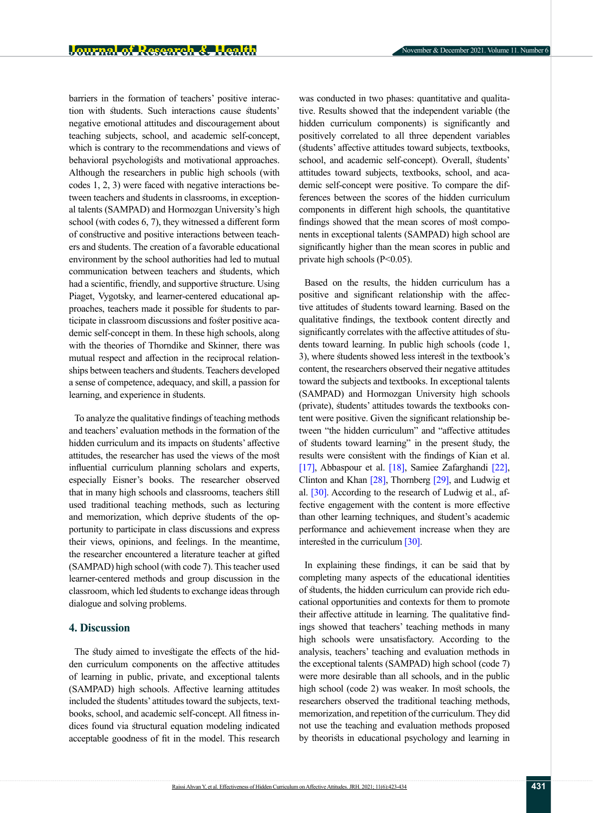barriers in the formation of teachers' positive interaction with students. Such interactions cause students' negative emotional attitudes and discouragement about teaching subjects, school, and academic self-concept, which is contrary to the recommendations and views of behavioral psychologists and motivational approaches. Although the researchers in public high schools (with codes 1, 2, 3) were faced with negative interactions between teachers and students in classrooms, in exceptional talents (SAMPAD) and Hormozgan University's high school (with codes 6, 7), they witnessed a different form of constructive and positive interactions between teachers and students. The creation of a favorable educational environment by the school authorities had led to mutual communication between teachers and students, which had a scientific, friendly, and supportive structure. Using Piaget, Vygotsky, and learner-centered educational approaches, teachers made it possible for students to participate in classroom discussions and foster positive academic self-concept in them. In these high schools, along with the theories of Thorndike and Skinner, there was mutual respect and affection in the reciprocal relationships between teachers and students. Teachers developed a sense of competence, adequacy, and skill, a passion for learning, and experience in students.

To analyze the qualitative findings of teaching methods and teachers' evaluation methods in the formation of the hidden curriculum and its impacts on students' affective attitudes, the researcher has used the views of the most influential curriculum planning scholars and experts, especially Eisner's books. The researcher observed that in many high schools and classrooms, teachers still used traditional teaching methods, such as lecturing and memorization, which deprive students of the opportunity to participate in class discussions and express their views, opinions, and feelings. In the meantime, the researcher encountered a literature teacher at gifted (SAMPAD) high school (with code 7). This teacher used learner-centered methods and group discussion in the classroom, which led students to exchange ideas through dialogue and solving problems.

## **4. Discussion**

The study aimed to investigate the effects of the hidden curriculum components on the affective attitudes of learning in public, private, and exceptional talents (SAMPAD) high schools. Affective learning attitudes included the students' attitudes toward the subjects, textbooks, school, and academic self-concept. All fitness indices found via structural equation modeling indicated acceptable goodness of fit in the model. This research was conducted in two phases: quantitative and qualitative. Results showed that the independent variable (the hidden curriculum components) is significantly and positively correlated to all three dependent variables (students' affective attitudes toward subjects, textbooks, school, and academic self-concept). Overall, students' attitudes toward subjects, textbooks, school, and academic self-concept were positive. To compare the differences between the scores of the hidden curriculum components in different high schools, the quantitative findings showed that the mean scores of most components in exceptional talents (SAMPAD) high school are significantly higher than the mean scores in public and private high schools (P<0.05).

Based on the results, the hidden curriculum has a positive and significant relationship with the affective attitudes of students toward learning. Based on the qualitative findings, the textbook content directly and significantly correlates with the affective attitudes of students toward learning. In public high schools (code 1, 3), where students showed less interest in the textbook's content, the researchers observed their negative attitudes toward the subjects and textbooks. In exceptional talents (SAMPAD) and Hormozgan University high schools (private), students' attitudes towards the textbooks content were positive. Given the significant relationship between "the hidden curriculum" and "affective attitudes of students toward learning" in the present study, the results were consistent with the findings of Kian et al. [\[17\],](#page-10-14) Abbaspour et al. [\[18\]](#page-10-15), Samiee Zafarghandi [22], Clinton and Khan [\[28\],](#page-11-4) Thornberg [29], and Ludwig et al. [30]. According to the research of Ludwig et al., affective engagement with the content is more effective than other learning techniques, and student's academic performance and achievement increase when they are interested in the curriculum [30].

In explaining these findings, it can be said that by completing many aspects of the educational identities of students, the hidden curriculum can provide rich educational opportunities and contexts for them to promote their affective attitude in learning. The qualitative findings showed that teachers' teaching methods in many high schools were unsatisfactory. According to the analysis, teachers' teaching and evaluation methods in the exceptional talents (SAMPAD) high school (code 7) were more desirable than all schools, and in the public high school (code 2) was weaker. In most schools, the researchers observed the traditional teaching methods, memorization, and repetition of the curriculum. They did not use the teaching and evaluation methods proposed by theorists in educational psychology and learning in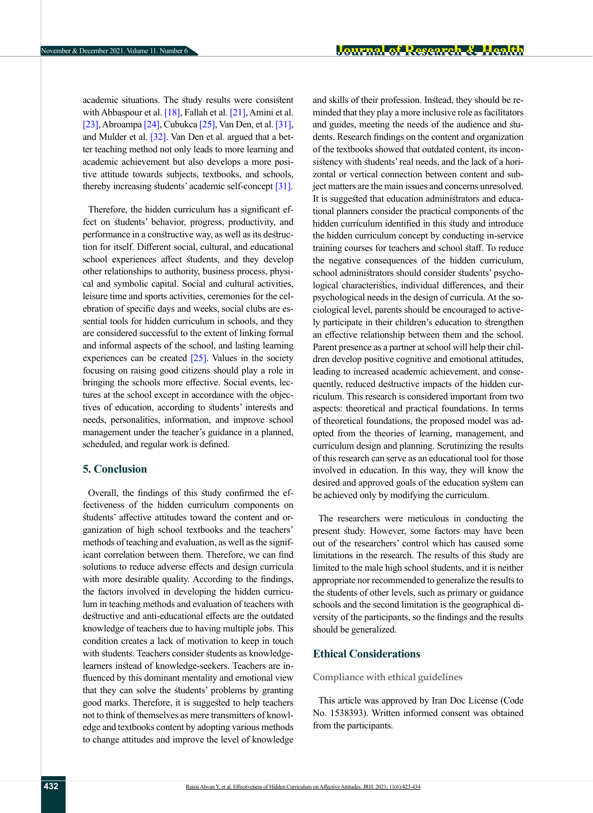academic situations. The study results were consistent with Abbaspour et al.  $[18]$ , Fallah et al.  $[21]$ , Amini et al. [\[23\]](#page-10-18), Abroampa [\[24\]](#page-11-0), Cubukca [\[25\]](#page-11-1), Van Den, et al. [\[31\]](#page-11-5), and Mulder et al. [\[32\].](#page-11-6) Van Den et al. argued that a better teaching method not only leads to more learning and academic achievement but also develops a more positive attitude towards subjects, textbooks, and schools, thereby increasing students' academic self-concept [\[31\]](#page-11-5).

Therefore, the hidden curriculum has a significant effect on students' behavior, progress, productivity, and performance in a constructive way, as well as its destruction for itself. Different social, cultural, and educational school experiences affect students, and they develop other relationships to authority, business process, physical and symbolic capital. Social and cultural activities, leisure time and sports activities, ceremonies for the celebration of specific days and weeks, social clubs are essential tools for hidden curriculum in schools, and they are considered successful to the extent of linking formal and informal aspects of the school, and lasting learning experiences can be created  $[25]$ . Values in the society focusing on raising good citizens should play a role in bringing the schools more effective. Social events, lectures at the school except in accordance with the objectives of education, according to students' interests and needs, personalities, information, and improve school management under the teacher's guidance in a planned, scheduled, and regular work is defined.

## **5. Conclusion**

Overall, the findings of this study confirmed the effectiveness of the hidden curriculum components on students' affective attitudes toward the content and organization of high school textbooks and the teachers' methods of teaching and evaluation, as well as the significant correlation between them. Therefore, we can find solutions to reduce adverse effects and design curricula with more desirable quality. According to the findings, the factors involved in developing the hidden curriculum in teaching methods and evaluation of teachers with destructive and anti-educational effects are the outdated knowledge of teachers due to having multiple jobs. This condition creates a lack of motivation to keep in touch with students. Teachers consider students as knowledgelearners instead of knowledge-seekers. Teachers are influenced by this dominant mentality and emotional view that they can solve the students' problems by granting good marks. Therefore, it is suggested to help teachers not to think of themselves as mere transmitters of knowledge and textbooks content by adopting various methods to change attitudes and improve the level of knowledge

and skills of their profession. Instead, they should be reminded that they play a more inclusive role as facilitators and guides, meeting the needs of the audience and students. Research findings on the content and organization of the textbooks showed that outdated content, its inconsistency with students' real needs, and the lack of a horizontal or vertical connection between content and subject matters are the main issues and concerns unresolved. It is suggested that education administrators and educational planners consider the practical components of the hidden curriculum identified in this study and introduce the hidden curriculum concept by conducting in-service training courses for teachers and school staff. To reduce the negative consequences of the hidden curriculum, school administrators should consider students' psychological characteristics, individual differences, and their psychological needs in the design of curricula. At the sociological level, parents should be encouraged to actively participate in their children's education to strengthen an effective relationship between them and the school. Parent presence as a partner at school will help their children develop positive cognitive and emotional attitudes, leading to increased academic achievement, and consequently, reduced destructive impacts of the hidden curriculum. This research is considered important from two aspects: theoretical and practical foundations. In terms of theoretical foundations, the proposed model was adopted from the theories of learning, management, and curriculum design and planning. Scrutinizing the results of this research can serve as an educational tool for those involved in education. In this way, they will know the desired and approved goals of the education system can be achieved only by modifying the curriculum.

The researchers were meticulous in conducting the present study. However, some factors may have been out of the researchers' control which has caused some limitations in the research. The results of this study are limited to the male high school students, and it is neither appropriate nor recommended to generalize the results to the students of other levels, such as primary or guidance schools and the second limitation is the geographical diversity of the participants, so the findings and the results should be generalized.

## **Ethical Considerations**

#### **Compliance with ethical guidelines**

This article was approved by Iran Doc License (Code No. 1538393). Written informed consent was obtained from the participants.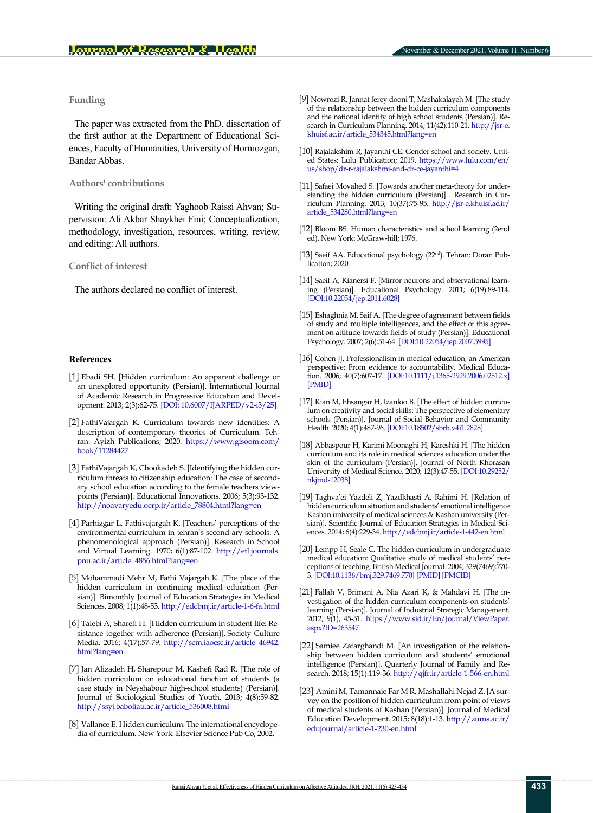## **Funding**

The paper was extracted from the PhD. dissertation of the first author at the Department of Educational Sciences, Faculty of Humanities, University of Hormozgan, Bandar Abbas.

#### **Authors' contributions**

Writing the original draft: Yaghoob Raissi Ahvan; Supervision: Ali Akbar Shaykhei Fini; Conceptualization, methodology, investigation, resources, writing, review, and editing: All authors.

#### **Conflict of interest**

The authors declared no conflict of interest.

#### **References**

- <span id="page-10-0"></span>[1] Ebadi SH. [Hidden curriculum: An apparent challenge or an unexplored opportunity (Persian)]. International Journal of Academic Research in Progressive Education and Development. 2013; 2(3):62-75. [[DOI: 10.6007/IJARPED/v2-i3/25\]](https://doi.org/10.6007/IJARPED%2FV2-I3%2F25)
- <span id="page-10-1"></span>[2] FathiVajargah K. Curriculum towards new identities: A description of contemporary theories of Curriculum. Tehran: Ayizh Publications; 2020. [https://www.gisoom.com/](https://www.gisoom.com/book/11284427/%DA%A9%D8%AA%D8%A7%D8%A8-%D8%A8%D8%B1%D9%86%D8%A7%D9%85%D9%87-%D8%AF%D8%B1%D8%B3%DB%8C-%D8%A8%D9%87-%D8%B3%D9%88%DB%8C-%D9%87%D9%88%DB%8C%D8%AA-%D9%87%D8%A7%DB%8C-%D8%AC%D8%AF%DB%8C%D8%AF-%D8%B4%D8%B1%D8%AD%DB%8C-%D8%A8%D8%B1-%D9%86%D8%B8%D8%B1%DB%8C%D8%A7%D8%AA-%D9%85%D8%B9%D8%A7%D8%B5%D8%B1-%D8%A8%D8%B1%D9%86%D8%A7%D9%85%D9%87-%D8%AF%D8%B1%D8%B3%DB%8C-%D8%AC%D9%84%D8%AF-1/) [book/11284427](https://www.gisoom.com/book/11284427/%DA%A9%D8%AA%D8%A7%D8%A8-%D8%A8%D8%B1%D9%86%D8%A7%D9%85%D9%87-%D8%AF%D8%B1%D8%B3%DB%8C-%D8%A8%D9%87-%D8%B3%D9%88%DB%8C-%D9%87%D9%88%DB%8C%D8%AA-%D9%87%D8%A7%DB%8C-%D8%AC%D8%AF%DB%8C%D8%AF-%D8%B4%D8%B1%D8%AD%DB%8C-%D8%A8%D8%B1-%D9%86%D8%B8%D8%B1%DB%8C%D8%A7%D8%AA-%D9%85%D8%B9%D8%A7%D8%B5%D8%B1-%D8%A8%D8%B1%D9%86%D8%A7%D9%85%D9%87-%D8%AF%D8%B1%D8%B3%DB%8C-%D8%AC%D9%84%D8%AF-1/)
- [3] FathiVājargāh K, Chookadeh S. [Identifying the hidden curriculum threats to citizenship education: The case of secondary school education according to the female teachers viewpoints (Persian)]. Educational Innovations. 2006; 5(3):93-132. [http://noavaryedu.oerp.ir/article\\_78804.html?lang=en](http://noavaryedu.oerp.ir/article_78804.html?lang=en)
- [4] Parhizgar L, Fathivajargah K. [Teachers' perceptions of the environmental curriculum in tehran's second-ary schools: A phenomenological approach (Persian)]. Research in School and Virtual Learning. 1970; 6(1):87-102. [http://etl.journals.](http://etl.journals.pnu.ac.ir/article_4856.html?lang=en) [pnu.ac.ir/article\\_4856.html?lang=en](http://etl.journals.pnu.ac.ir/article_4856.html?lang=en)
- <span id="page-10-2"></span>[5] Mohammadi Mehr M, Fathi Vajargah K. [The place of the hidden curriculum in continuing medical education (Persian)]. Bimonthly Journal of Education Strategies in Medical Sciences. 2008; 1(1):48-53.<http://edcbmj.ir/article-1-6-fa.html>
- <span id="page-10-3"></span>[6] Talebi A, Sharefi H. [Hidden curriculum in student life: Resistance together with adherence (Persian)]. Society Culture Media. 2016; 4(17):57-79. [http://scm.iaocsc.ir/article\\_46942.](http://scm.iaocsc.ir/article_46942.html?lang=en) [html?lang=en](http://scm.iaocsc.ir/article_46942.html?lang=en)
- <span id="page-10-4"></span>[7] Jan Alizadeh H, Sharepour M, Kashefi Rad R. [The role of hidden curriculum on educational function of students (a case study in Neyshabour high-school students) (Persian)]. Journal of Sociological Studies of Youth. 2013; 4(8):59-82. [http://ssyj.baboliau.ac.ir/article\\_536008.html](http://ssyj.baboliau.ac.ir/article_536008.html)
- <span id="page-10-5"></span>[8] Vallance E. Hidden curriculum: The international encyclopedia of curriculum. New York: Elsevier Science Pub Co; 2002.
- <span id="page-10-6"></span>[9] Nowrozi R, Jannat ferey dooni T, Mashakalayeh M. [The study of the relationship between the hidden curriculum components and the national identity of high school students (Persian)]. Research in Curriculum Planning. 2014; 11(42):110-21. [http://jsr-e.](http://jsr-e.khuisf.ac.ir/article_534345.html?lang=en) [khuisf.ac.ir/article\\_534345.html?lang=en](http://jsr-e.khuisf.ac.ir/article_534345.html?lang=en)
- <span id="page-10-7"></span>[10] Rajalakshim R, Jayanthi CE. Gender school and society. United States: Lulu Publication; 2019. [https://www.lulu.com/en/](https://www.lulu.com/en/us/shop/dr-r-rajalakshmi-and-dr-ce-jayanthi/gender-school-and-society/paperback/product-1wkre4v9.html?page=1&pageSize=4) [us/shop/dr-r-rajalakshmi-and-dr-ce-jayanthi=4](https://www.lulu.com/en/us/shop/dr-r-rajalakshmi-and-dr-ce-jayanthi/gender-school-and-society/paperback/product-1wkre4v9.html?page=1&pageSize=4)
- <span id="page-10-8"></span>[11] Safaei Movahed S. [Towards another meta-theory for understanding the hidden curriculum (Persian)] . Research in Curriculum Planning. 2013; 10(37):75-95. [http://jsr-e.khuisf.ac.ir/](http://jsr-e.khuisf.ac.ir/article_534280.html?lang=en) [article\\_534280.html?lang=en](http://jsr-e.khuisf.ac.ir/article_534280.html?lang=en)
- <span id="page-10-9"></span>[12] Bloom BS. Human characteristics and school learning (2end ed). New York: McGraw-hill; 1976.
- <span id="page-10-10"></span>[13] Saeif AA. Educational psychology (22<sup>nd</sup>). Tehran: Doran Publication; 2020.
- <span id="page-10-11"></span>[14] Saeif A, Kianersi F. [Mirror neurons and observational learning (Persian)]. Educational Psychology. 2011; 6(19):89-114. [\[DOI:10.22054/jep.2011.6028\]](https://dx.doi.org/10.22054/jep.2011.6028)
- <span id="page-10-12"></span>[15] Eshaghnia M, Saif A. [The degree of agreement between fields of study and multiple intelligences, and the effect of this agreement on attitude towards fields of study (Persian)]. Educational Psychology. 2007; 2(6):51-64. [\[DOI:10.22054/jep.2007.5995\]](https://dx.doi.org/10.22054/jep.2007.5995)
- <span id="page-10-13"></span>[16] Cohen JJ. Professionalism in medical education, an American perspective: From evidence to accountability. Medical Education. 2006; 40(7):607-17. [\[DOI:10.1111/j.1365-2929.2006.02512.x\]](https://doi.org/10.1111/j.1365-2929.2006.02512.x) [\[PMID](https://pubmed.ncbi.nlm.nih.gov/16836532/)]
- <span id="page-10-14"></span>[17] Kian M, Ehsangar H, Izanloo B. [The effect of hidden curriculum on creativity and social skills: The perspective of elementary schools (Persian)]. Journal of Social Behavior and Community Health. 2020; 4(1):487-96. [[DOI:10.18502/sbrh.v4i1.2828](http://dx.doi.org/10.18502/sbrh.v4i1.2828)]
- <span id="page-10-15"></span>[18] Abbaspour H, Karimi Moonaghi H, Kareshki H. [The hidden curriculum and its role in medical sciences education under the skin of the curriculum (Persian)]. Journal of North Khorasan University of Medical Science. 2020; 12(3):47-55. [[DOI:10.29252/](http://dx.doi.org/10.29252/nkjmd-12038) [nkjmd-12038\]](http://dx.doi.org/10.29252/nkjmd-12038)
- [19] Taghva'ei Yazdeli Z, Yazdkhasti A, Rahimi H. [Relation of hidden curriculum situation and students' emotional intelligence Kashan university of medical sciences & Kashan university (Persian)]. Scientific Journal of Education Strategies in Medical Sciences. 2014; 6(4):229-34. <http://edcbmj.ir/article-1-442-en.html>
- <span id="page-10-16"></span>[20] Lempp H, Seale C. The hidden curriculum in undergraduate medi[cal ed](#page-10-15)ucation: Qualitative study of medical students' perceptions of teaching. British Medical Journal. 2004; 329(7469):770- 3. [[DOI:10.1136/bmj.329.7469.770](https://doi.org/10.1136/bmj.329.7469.770)] [[PMID](https://pubmed.ncbi.nlm.nih.gov/15459051/)] [\[PMCID\]](http://www.ncbi.nlm.nih.gov/pmc/articles/pmc520997/)
- <span id="page-10-17"></span>[21] Fallah V, Brimani A, Nia Azari K, & Mahdavi H. [The investigation of the hidden curriculum components on students' learning (Persian)]. Journal of Industrial Strategic Management. 2012; 9(1), 45-51. [https://www.sid.ir/En/Journal/ViewPaper.](https://www.sid.ir/En/Journal/ViewPaper.aspx?ID=263547) [aspx?ID=263547](https://www.sid.ir/En/Journal/ViewPaper.aspx?ID=263547)
- [22] Samiee Zafarghandi M. [An investigation of the relationship between hidden curriculum and students' emotional intelligence (Persian)]. Quarterly Journal of Family and Research. 2018; 15(1):119-36. <http://qjfr.ir/article-1-566-en.html>
- <span id="page-10-18"></span>[23] Amini M, Tamannaie Far M R, Mashallahi Nejad Z. [A survey on the position of hidden curriculum from point of views of medical students of Kashan (Persian)]. Journal of Medical Education Development. 2015; 8(18):1-13. [http://zums.ac.ir/](http://zums.ac.ir/edujournal/article-1-230-en.html) [edujournal/article-1-230-en.html](http://zums.ac.ir/edujournal/article-1-230-en.html)